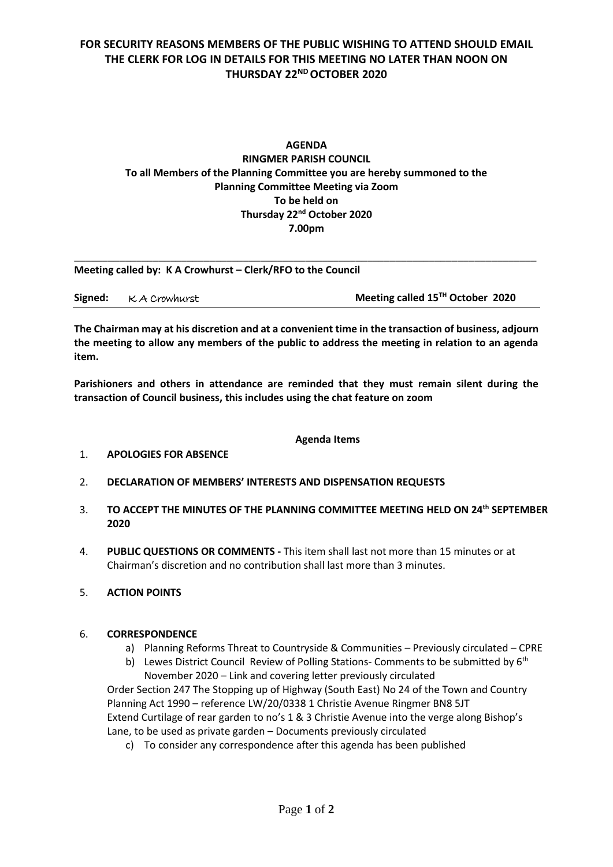## **FOR SECURITY REASONS MEMBERS OF THE PUBLIC WISHING TO ATTEND SHOULD EMAIL THE CLERK FOR LOG IN DETAILS FOR THIS MEETING NO LATER THAN NOON ON THURSDAY 22 ND OCTOBER 2020**

### **AGENDA RINGMER PARISH COUNCIL To all Members of the Planning Committee you are hereby summoned to the Planning Committee Meeting via Zoom To be held on Thursday 22 nd October 2020 7.00pm**

**Meeting called by: K A Crowhurst – Clerk/RFO to the Council** 

|  | Signed: KA Crowhurst | Meeting called 15 <sup>TH</sup> October 2020 |
|--|----------------------|----------------------------------------------|
|--|----------------------|----------------------------------------------|

\_\_\_\_\_\_\_\_\_\_\_\_\_\_\_\_\_\_\_\_\_\_\_\_\_\_\_\_\_\_\_\_\_\_\_\_\_\_\_\_\_\_\_\_\_\_\_\_\_\_\_\_\_\_\_\_\_\_\_\_\_\_\_\_\_\_\_\_\_\_\_\_\_\_\_\_\_\_\_\_\_\_

**The Chairman may at his discretion and at a convenient time in the transaction of business, adjourn the meeting to allow any members of the public to address the meeting in relation to an agenda item.**

**Parishioners and others in attendance are reminded that they must remain silent during the transaction of Council business, this includes using the chat feature on zoom**

#### **Agenda Items**

- 1. **APOLOGIES FOR ABSENCE**
- 2. **DECLARATION OF MEMBERS' INTERESTS AND DISPENSATION REQUESTS**
- 3. **TO ACCEPT THE MINUTES OF THE PLANNING COMMITTEE MEETING HELD ON 24th SEPTEMBER 2020**
- 4. **PUBLIC QUESTIONS OR COMMENTS -** This item shall last not more than 15 minutes or at Chairman's discretion and no contribution shall last more than 3 minutes.
- 5. **ACTION POINTS**

#### 6. **CORRESPONDENCE**

- a) Planning Reforms Threat to Countryside & Communities Previously circulated CPRE
- b) Lewes District Council Review of Polling Stations- Comments to be submitted by  $6<sup>th</sup>$ November 2020 – Link and covering letter previously circulated

Order Section 247 The Stopping up of Highway (South East) No 24 of the Town and Country Planning Act 1990 – reference LW/20/0338 1 Christie Avenue Ringmer BN8 5JT Extend Curtilage of rear garden to no's 1 & 3 Christie Avenue into the verge along Bishop's Lane, to be used as private garden – Documents previously circulated

c) To consider any correspondence after this agenda has been published